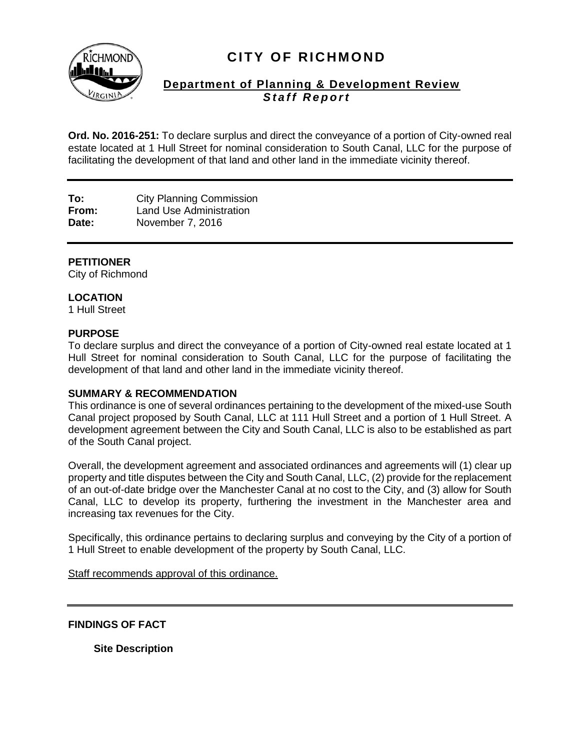

# **CITY OF RICHMOND**

# **Department of Planning & Development Review Staff Report**

**Ord. No. 2016-251:** To declare surplus and direct the conveyance of a portion of City-owned real estate located at 1 Hull Street for nominal consideration to South Canal, LLC for the purpose of facilitating the development of that land and other land in the immediate vicinity thereof.

**To:** City Planning Commission **From:** Land Use Administration **Date:** November 7, 2016

# **PETITIONER**

City of Richmond

# **LOCATION**

1 Hull Street

# **PURPOSE**

To declare surplus and direct the conveyance of a portion of City-owned real estate located at 1 Hull Street for nominal consideration to South Canal, LLC for the purpose of facilitating the development of that land and other land in the immediate vicinity thereof.

#### **SUMMARY & RECOMMENDATION**

This ordinance is one of several ordinances pertaining to the development of the mixed-use South Canal project proposed by South Canal, LLC at 111 Hull Street and a portion of 1 Hull Street. A development agreement between the City and South Canal, LLC is also to be established as part of the South Canal project.

Overall, the development agreement and associated ordinances and agreements will (1) clear up property and title disputes between the City and South Canal, LLC, (2) provide for the replacement of an out-of-date bridge over the Manchester Canal at no cost to the City, and (3) allow for South Canal, LLC to develop its property, furthering the investment in the Manchester area and increasing tax revenues for the City.

Specifically, this ordinance pertains to declaring surplus and conveying by the City of a portion of 1 Hull Street to enable development of the property by South Canal, LLC.

Staff recommends approval of this ordinance.

**FINDINGS OF FACT**

**Site Description**